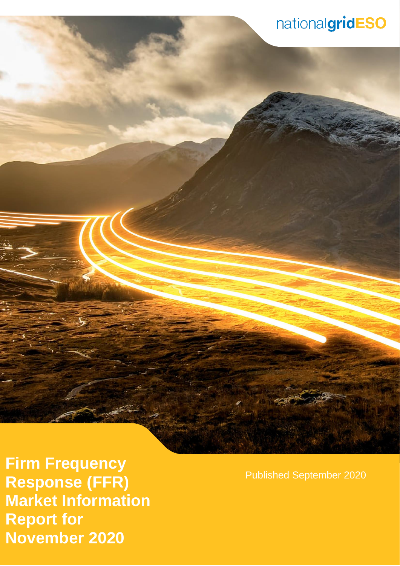**Error! No text of specified style in document.** | **Error! No text of specified style in document.** 1 **November 2020 Firm Frequency Response (FFR) Market Information Report for** 

Published September 2020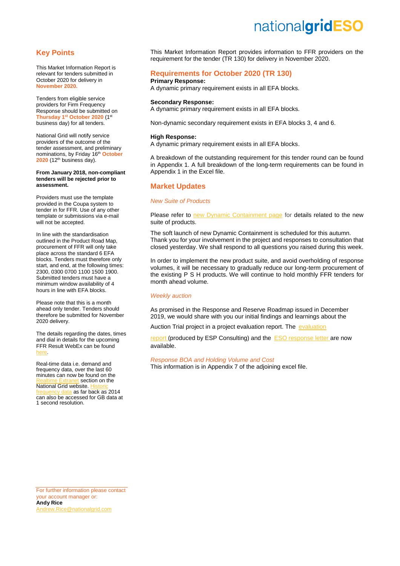## **Key Points**

This Market Information Report is relevant for tenders submitted in October 2020 for delivery in **November 2020.**

Tenders from eligible service providers for Firm Frequency Response should be submitted on **Thursday 1st October 2020** (1 st business day) for all tenders.

National Grid will notify service providers of the outcome of the tender assessment, and preliminary nominations, by Friday 16th **October 2020** (12<sup>th</sup> business day).

#### **From January 2018, non-compliant tenders will be rejected prior to assessment.**

Providers must use the template provided in the Coupa system to tender in for FFR. Use of any other template or submissions via e-mail will not be accepted.

In line with the standardisation outlined in the Product Road Map, procurement of FFR will only take place across the standard 6 EFA blocks. Tenders must therefore only start, and end, at the following times: 2300, 0300 0700 1100 1500 1900. Submitted tenders must have a minimum window availability of 4 hours in line with EFA blocks.

Please note that this is a month ahead only tender. Tenders should therefore be submitted for November 2020 delivery.

The details regarding the dates, times and dial in details for the upcoming FFR Result WebEx can be found [here.](https://www.nationalgrideso.com/sites/eso/files/documents/FFR%20Feedback%20calendar%20TR106%20-%20TR111%20EXT_1.pdf)

Real-time data i.e. demand and frequency data, over the last 60 minutes can now be found on the t section on the National Grid website. a as far back as 2014 can also be accessed for GB data at 1 second resolution.

This Market Information Report provides information to FFR providers on the requirement for the tender (TR 130) for delivery in November 2020.

## **Requirements for October 2020 (TR 130)**

## **Primary Response:**

A dynamic primary requirement exists in all EFA blocks.

## **Secondary Response:**

A dynamic primary requirement exists in all EFA blocks.

Non-dynamic secondary requirement exists in EFA blocks 3, 4 and 6.

## **High Response:**

A dynamic primary requirement exists in all EFA blocks.

A breakdown of the outstanding requirement for this tender round can be found in Appendix 1. A full breakdown of the long-term requirements can be found in Appendix 1 in the Excel file.

## **Market Updates**

## *New Suite of Products*

Please refer to [new Dynamic Containment page](https://www.nationalgrideso.com/industry-information/balancing-services/frequency-response-services/dynamic-containment) for details related to the new suite of products.

The soft launch of new Dynamic Containment is scheduled for this autumn. Thank you for your involvement in the project and responses to consultation that closed yesterday. We shall respond to all questions you raised during this week.

In order to implement the new product suite, and avoid overholding of response volumes, it will be necessary to gradually reduce our long-term procurement of the existing P S H products. We will continue to hold monthly FFR tenders for month ahead volume.

## *Weekly auction*

As promised in the Response and Reserve Roadmap issued in December 2019, we would share with you our initial findings and learnings about the

Auction Trial project in a project [evaluation](https://www.nationalgrideso.com/document/176721/download) report. The evaluation

[report](https://www.nationalgrideso.com/document/176721/download) (produced by ESP Consulting) and the ESO [response letter](https://www.nationalgrideso.com/document/176726/download) are now available.

### *Response BOA and Holding Volume and Cost*

This information is in Appendix 7 of the adjoining excel file.

For further information please contact your account manager or: **Andy Rice** [Andrew.Rice@nationalgrid.com](mailto:Andrew.Rice@nationalgrid.com)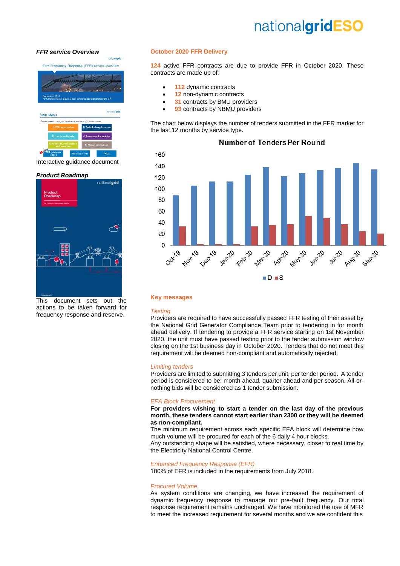### *[FFR service Overview](https://www.nationalgrid.com/sites/default/files/documents/Firm%20Frequency%20Response%20%28FFR%29%20Interactive%20Guidance%20v1%200_0.pdf)*

Firm Frequency Response (FFR) service overview Main Menu of this

### Interactive guidance document

## *[Product Roadmap](https://www.nationalgrid.com/sites/default/files/documents/Product%20Roadmap%20for%20Frequency%20Response%20and%20Reserve.pdf)*



This document sets out the actions to be taken forward for frequency response and reserve.

## **October 2020 FFR Delivery**

**124** active FFR contracts are due to provide FFR in October 2020. These contracts are made up of:

- **112** dynamic contracts
- **12** non-dynamic contracts
- **31** contracts by BMU providers
- **93** contracts by NBMU providers

The chart below displays the number of tenders submitted in the FFR market for the last 12 months by service type.



## **Number of Tenders Per Round**

### **Key messages**

## *Testing*

Providers are required to have successfully passed FFR testing of their asset by the National Grid Generator Compliance Team prior to tendering in for month ahead delivery. If tendering to provide a FFR service starting on 1st November 2020, the unit must have passed testing prior to the tender submission window closing on the 1st business day in October 2020. Tenders that do not meet this requirement will be deemed non-compliant and automatically rejected.

#### *Limiting tenders*

Providers are limited to submitting 3 tenders per unit, per tender period. A tender period is considered to be; month ahead, quarter ahead and per season. All-ornothing bids will be considered as 1 tender submission.

### *EFA Block Procurement*

**For providers wishing to start a tender on the last day of the previous month, these tenders cannot start earlier than 2300 or they will be deemed as non-compliant.**

The minimum requirement across each specific EFA block will determine how much volume will be procured for each of the 6 daily 4 hour blocks.

Any outstanding shape will be satisfied, where necessary, closer to real time by the Electricity National Control Centre.

### *Enhanced Frequency Response (EFR)*

100% of EFR is included in the requirements from July 2018.

#### *Procured Volume*

As system conditions are changing, we have increased the requirement of dynamic frequency response to manage our pre-fault frequency. Our total response requirement remains unchanged. We have monitored the use of MFR to meet the increased requirement for several months and we are confident this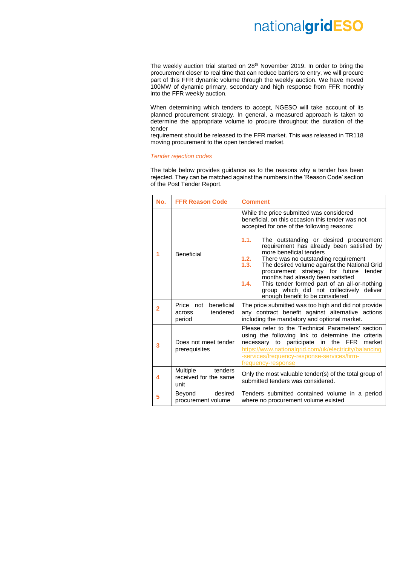The weekly auction trial started on  $28<sup>th</sup>$  November 2019. In order to bring the procurement closer to real time that can reduce barriers to entry, we will procure part of this FFR dynamic volume through the weekly auction. We have moved 100MW of dynamic primary, secondary and high response from FFR monthly into the FFR weekly auction.

When determining which tenders to accept, NGESO will take account of its planned procurement strategy. In general, a measured approach is taken to determine the appropriate volume to procure throughout the duration of the tender

requirement should be released to the FFR market. This was released in TR118 moving procurement to the open tendered market.

#### *Tender rejection codes*

The table below provides guidance as to the reasons why a tender has been rejected. They can be matched against the numbers in the 'Reason Code' section of the Post Tender Report.

| No.            | <b>FFR Reason Code</b>                                  | <b>Comment</b>                                                                                                                                                                                                                                                                                                                                                                                                                                                                                                                                                                                        |
|----------------|---------------------------------------------------------|-------------------------------------------------------------------------------------------------------------------------------------------------------------------------------------------------------------------------------------------------------------------------------------------------------------------------------------------------------------------------------------------------------------------------------------------------------------------------------------------------------------------------------------------------------------------------------------------------------|
| 1              | Beneficial                                              | While the price submitted was considered<br>beneficial, on this occasion this tender was not<br>accepted for one of the following reasons:<br>1.1.<br>The outstanding or desired procurement<br>requirement has already been satisfied by<br>more beneficial tenders<br>1.2.<br>There was no outstanding requirement<br>1.3.<br>The desired volume against the National Grid<br>procurement strategy for future<br>tender<br>months had already been satisfied<br>This tender formed part of an all-or-nothing<br>1.4.<br>group which did not collectively deliver<br>enough benefit to be considered |
| $\overline{2}$ | beneficial<br>Price not<br>tendered<br>across<br>period | The price submitted was too high and did not provide<br>any contract benefit against alternative actions<br>including the mandatory and optional market.                                                                                                                                                                                                                                                                                                                                                                                                                                              |
| 3              | Does not meet tender<br>prerequisites                   | Please refer to the 'Technical Parameters' section<br>using the following link to determine the criteria<br>necessary to participate<br>in the FFR<br>market<br>https://www.nationalgrid.com/uk/electricity/balancing<br>-services/frequency-response-services/firm-<br>frequency-response                                                                                                                                                                                                                                                                                                            |
| 4              | Multiple<br>tenders<br>received for the same<br>unit    | Only the most valuable tender(s) of the total group of<br>submitted tenders was considered.                                                                                                                                                                                                                                                                                                                                                                                                                                                                                                           |
| 5              | desired<br>Beyond<br>procurement volume                 | Tenders submitted contained volume in a period<br>where no procurement volume existed                                                                                                                                                                                                                                                                                                                                                                                                                                                                                                                 |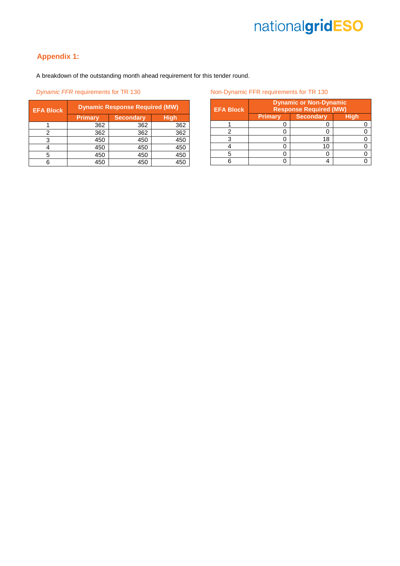## **Appendix 1:**

A breakdown of the outstanding month ahead requirement for this tender round.

## **Dynamic FFR requirements for TR 130**

| <b>EFA Block</b> | <b>Dynamic Response Required (MW)</b> |                  |     |  |
|------------------|---------------------------------------|------------------|-----|--|
|                  | Primary                               | <b>Secondary</b> |     |  |
|                  | 362                                   | 362              | 362 |  |
|                  | 362                                   | 362              | 362 |  |
|                  | 450                                   | 450              | 450 |  |
|                  | 450                                   | 450              | 450 |  |
| 5                | 450                                   | 450              | 450 |  |
|                  | 450                                   | 450              | 450 |  |

**Non-Dynamic FFR requirements for TR 130** 

| <b>EFA Block</b> | <b>Dynamic or Non-Dynamic</b><br><b>Response Required (MW)</b> |                  |      |  |  |
|------------------|----------------------------------------------------------------|------------------|------|--|--|
|                  | <b>Primary</b>                                                 | <b>Secondary</b> | Hiah |  |  |
|                  |                                                                |                  |      |  |  |
|                  |                                                                |                  |      |  |  |
|                  |                                                                | 18               |      |  |  |
|                  |                                                                | 1 (              |      |  |  |
|                  |                                                                |                  |      |  |  |
|                  |                                                                |                  |      |  |  |